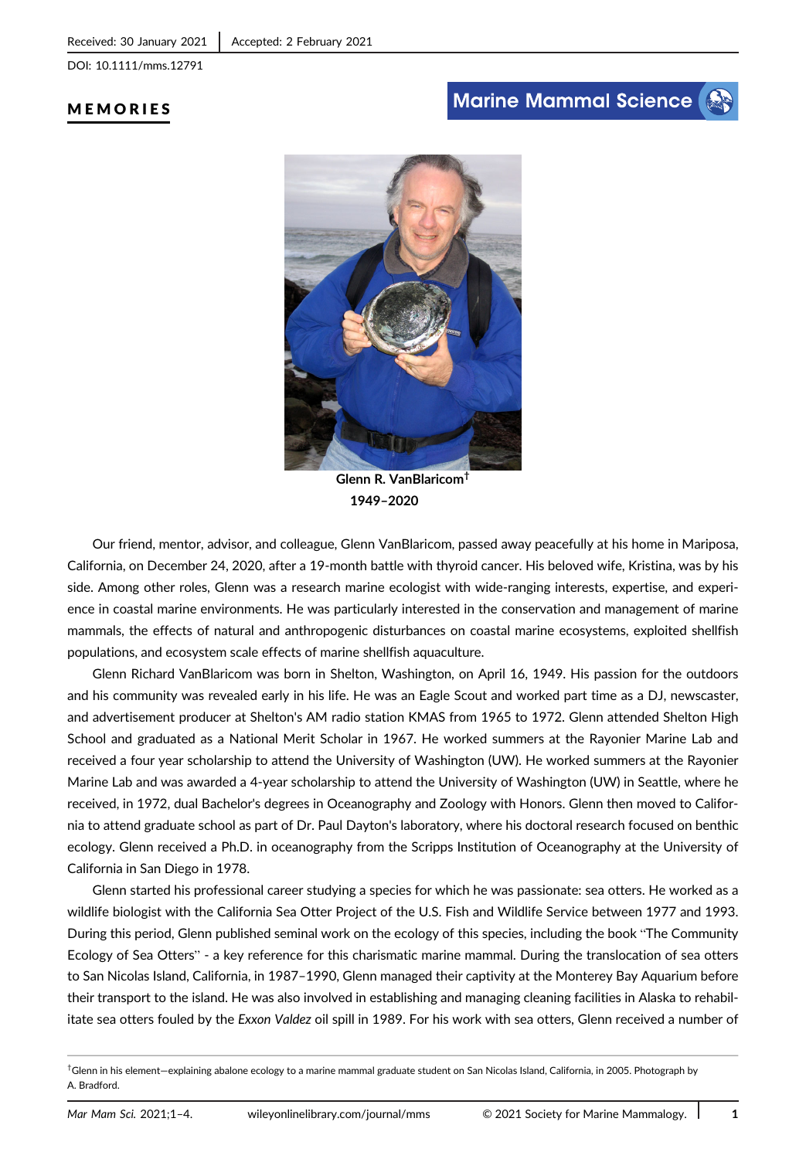DOI: 10.1111/mms.12791

# MEMORIES

# **Marine Mammal Science**



Glenn R. VanBlaricom† 1949–2020

Our friend, mentor, advisor, and colleague, Glenn VanBlaricom, passed away peacefully at his home in Mariposa, California, on December 24, 2020, after a 19-month battle with thyroid cancer. His beloved wife, Kristina, was by his side. Among other roles, Glenn was a research marine ecologist with wide-ranging interests, expertise, and experience in coastal marine environments. He was particularly interested in the conservation and management of marine mammals, the effects of natural and anthropogenic disturbances on coastal marine ecosystems, exploited shellfish populations, and ecosystem scale effects of marine shellfish aquaculture.

Glenn Richard VanBlaricom was born in Shelton, Washington, on April 16, 1949. His passion for the outdoors and his community was revealed early in his life. He was an Eagle Scout and worked part time as a DJ, newscaster, and advertisement producer at Shelton's AM radio station KMAS from 1965 to 1972. Glenn attended Shelton High School and graduated as a National Merit Scholar in 1967. He worked summers at the Rayonier Marine Lab and received a four year scholarship to attend the University of Washington (UW). He worked summers at the Rayonier Marine Lab and was awarded a 4-year scholarship to attend the University of Washington (UW) in Seattle, where he received, in 1972, dual Bachelor's degrees in Oceanography and Zoology with Honors. Glenn then moved to California to attend graduate school as part of Dr. Paul Dayton's laboratory, where his doctoral research focused on benthic ecology. Glenn received a Ph.D. in oceanography from the Scripps Institution of Oceanography at the University of California in San Diego in 1978.

Glenn started his professional career studying a species for which he was passionate: sea otters. He worked as a wildlife biologist with the California Sea Otter Project of the U.S. Fish and Wildlife Service between 1977 and 1993. During this period, Glenn published seminal work on the ecology of this species, including the book "The Community Ecology of Sea Otters" - a key reference for this charismatic marine mammal. During the translocation of sea otters to San Nicolas Island, California, in 1987–1990, Glenn managed their captivity at the Monterey Bay Aquarium before their transport to the island. He was also involved in establishing and managing cleaning facilities in Alaska to rehabilitate sea otters fouled by the Exxon Valdez oil spill in 1989. For his work with sea otters, Glenn received a number of

<sup>†</sup> Glenn in his element—explaining abalone ecology to a marine mammal graduate student on San Nicolas Island, California, in 2005. Photograph by A. Bradford.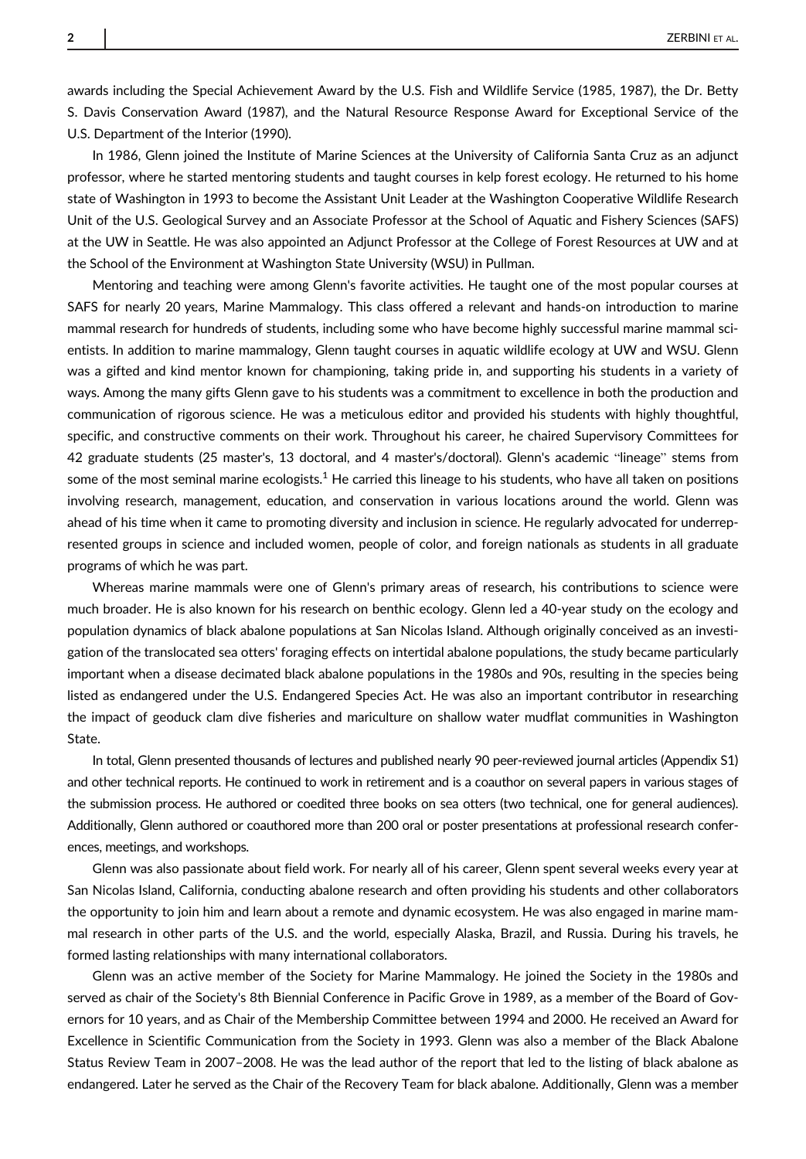awards including the Special Achievement Award by the U.S. Fish and Wildlife Service (1985, 1987), the Dr. Betty S. Davis Conservation Award (1987), and the Natural Resource Response Award for Exceptional Service of the U.S. Department of the Interior (1990).

In 1986, Glenn joined the Institute of Marine Sciences at the University of California Santa Cruz as an adjunct professor, where he started mentoring students and taught courses in kelp forest ecology. He returned to his home state of Washington in 1993 to become the Assistant Unit Leader at the Washington Cooperative Wildlife Research Unit of the U.S. Geological Survey and an Associate Professor at the School of Aquatic and Fishery Sciences (SAFS) at the UW in Seattle. He was also appointed an Adjunct Professor at the College of Forest Resources at UW and at the School of the Environment at Washington State University (WSU) in Pullman.

Mentoring and teaching were among Glenn's favorite activities. He taught one of the most popular courses at SAFS for nearly 20 years, Marine Mammalogy. This class offered a relevant and hands-on introduction to marine mammal research for hundreds of students, including some who have become highly successful marine mammal scientists. In addition to marine mammalogy, Glenn taught courses in aquatic wildlife ecology at UW and WSU. Glenn was a gifted and kind mentor known for championing, taking pride in, and supporting his students in a variety of ways. Among the many gifts Glenn gave to his students was a commitment to excellence in both the production and communication of rigorous science. He was a meticulous editor and provided his students with highly thoughtful, specific, and constructive comments on their work. Throughout his career, he chaired Supervisory Committees for 42 graduate students (25 master's, 13 doctoral, and 4 master's/doctoral). Glenn's academic "lineage" stems from some of the most seminal marine ecologists.<sup>1</sup> He carried this lineage to his students, who have all taken on positions involving research, management, education, and conservation in various locations around the world. Glenn was ahead of his time when it came to promoting diversity and inclusion in science. He regularly advocated for underrepresented groups in science and included women, people of color, and foreign nationals as students in all graduate programs of which he was part.

Whereas marine mammals were one of Glenn's primary areas of research, his contributions to science were much broader. He is also known for his research on benthic ecology. Glenn led a 40-year study on the ecology and population dynamics of black abalone populations at San Nicolas Island. Although originally conceived as an investigation of the translocated sea otters' foraging effects on intertidal abalone populations, the study became particularly important when a disease decimated black abalone populations in the 1980s and 90s, resulting in the species being listed as endangered under the U.S. Endangered Species Act. He was also an important contributor in researching the impact of geoduck clam dive fisheries and mariculture on shallow water mudflat communities in Washington State.

In total, Glenn presented thousands of lectures and published nearly 90 peer-reviewed journal articles (Appendix S1) and other technical reports. He continued to work in retirement and is a coauthor on several papers in various stages of the submission process. He authored or coedited three books on sea otters (two technical, one for general audiences). Additionally, Glenn authored or coauthored more than 200 oral or poster presentations at professional research conferences, meetings, and workshops.

Glenn was also passionate about field work. For nearly all of his career, Glenn spent several weeks every year at San Nicolas Island, California, conducting abalone research and often providing his students and other collaborators the opportunity to join him and learn about a remote and dynamic ecosystem. He was also engaged in marine mammal research in other parts of the U.S. and the world, especially Alaska, Brazil, and Russia. During his travels, he formed lasting relationships with many international collaborators.

Glenn was an active member of the Society for Marine Mammalogy. He joined the Society in the 1980s and served as chair of the Society's 8th Biennial Conference in Pacific Grove in 1989, as a member of the Board of Governors for 10 years, and as Chair of the Membership Committee between 1994 and 2000. He received an Award for Excellence in Scientific Communication from the Society in 1993. Glenn was also a member of the Black Abalone Status Review Team in 2007–2008. He was the lead author of the report that led to the listing of black abalone as endangered. Later he served as the Chair of the Recovery Team for black abalone. Additionally, Glenn was a member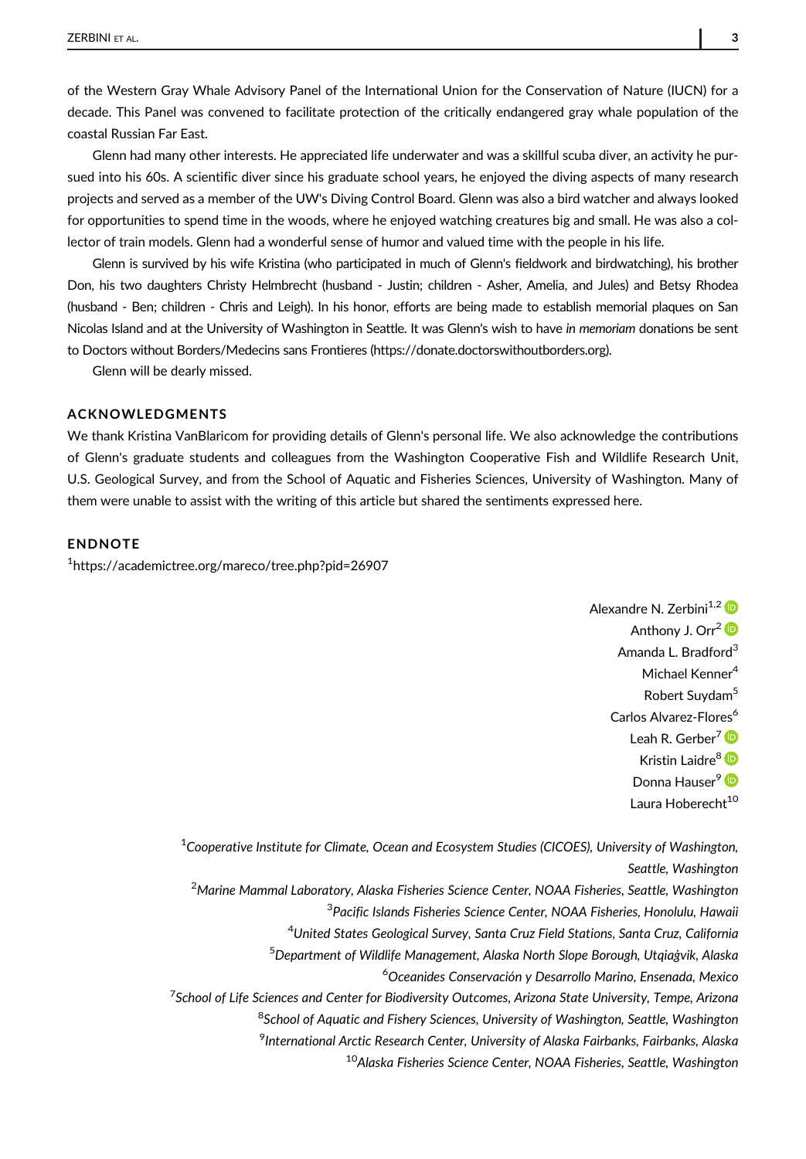of the Western Gray Whale Advisory Panel of the International Union for the Conservation of Nature (IUCN) for a decade. This Panel was convened to facilitate protection of the critically endangered gray whale population of the coastal Russian Far East.

Glenn had many other interests. He appreciated life underwater and was a skillful scuba diver, an activity he pursued into his 60s. A scientific diver since his graduate school years, he enjoyed the diving aspects of many research projects and served as a member of the UW's Diving Control Board. Glenn was also a bird watcher and always looked for opportunities to spend time in the woods, where he enjoyed watching creatures big and small. He was also a collector of train models. Glenn had a wonderful sense of humor and valued time with the people in his life.

Glenn is survived by his wife Kristina (who participated in much of Glenn's fieldwork and birdwatching), his brother Don, his two daughters Christy Helmbrecht (husband - Justin; children - Asher, Amelia, and Jules) and Betsy Rhodea (husband - Ben; children - Chris and Leigh). In his honor, efforts are being made to establish memorial plaques on San Nicolas Island and at the University of Washington in Seattle. It was Glenn's wish to have in memoriam donations be sent to Doctors without Borders/Medecins sans Frontieres (<https://donate.doctorswithoutborders.org>).

Glenn will be dearly missed.

### ACKNOWLEDGMENTS

We thank Kristina VanBlaricom for providing details of Glenn's personal life. We also acknowledge the contributions of Glenn's graduate students and colleagues from the Washington Cooperative Fish and Wildlife Research Unit, U.S. Geological Survey, and from the School of Aquatic and Fisheries Sciences, University of Washington. Many of them were unable to assist with the writing of this article but shared the sentiments expressed here.

#### ENDNOTE

1 <https://academictree.org/mareco/tree.php?pid=26907>

Alexandre N. Zerbini<sup>1,2</sup> Anthony J. Orr<sup>2</sup> <sup>D</sup> Amanda L. Bradford<sup>3</sup> Michael Kenner<sup>4</sup> Robert Suvdam<sup>5</sup> Carlos Alvarez-Flores<sup>6</sup> Leah R. Gerber<sup>7</sup><sup>D</sup> Kristin Laidre<sup>8</sup> Donna Hauser<sup>9</sup> D Laura Hoberecht<sup>10</sup>

 $^{\rm 1}$ Cooperative Institute for Climate, Ocean and Ecosystem Studies (CICOES), University of Washington, Seattle, Washington <sup>2</sup>Marine Mammal Laboratory, Alaska Fisheries Science Center, NOAA Fisheries, Seattle, Washington <sup>3</sup>Pacific Islands Fisheries Science Center, NOAA Fisheries, Honolulu, Hawaii 4 United States Geological Survey, Santa Cruz Field Stations, Santa Cruz, California 5 Department of Wildlife Management, Alaska North Slope Borough, Utqiaġvik, Alaska 6 Oceanides Conservación y Desarrollo Marino, Ensenada, Mexico <sup>7</sup>School of Life Sciences and Center for Biodiversity Outcomes, Arizona State University, Tempe, Arizona <sup>8</sup>School of Aquatic and Fishery Sciences, University of Washington, Seattle, Washington <sup>9</sup>International Arctic Research Center, University of Alaska Fairbanks, Fairbanks, Alaska <sup>10</sup>Alaska Fisheries Science Center, NOAA Fisheries, Seattle, Washington